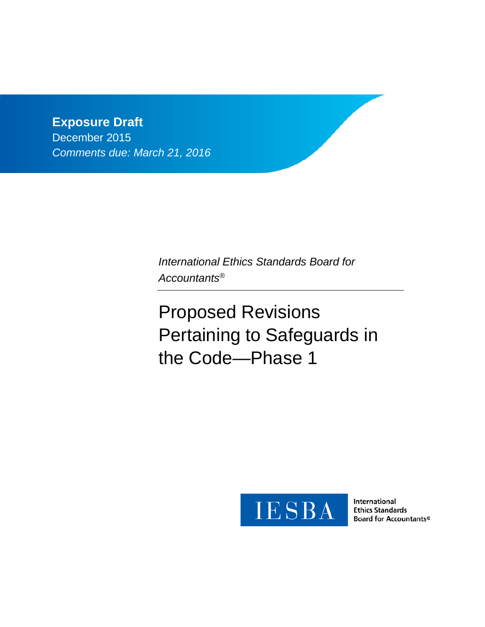**Exposure Draft**  December 2015 *Comments due: March 21, 2016*

> *International Ethics Standards Board for Accountants®*

Proposed Revisions Pertaining to Safeguards in the Code—Phase 1



International **Ethics Standards Board for Accountants®**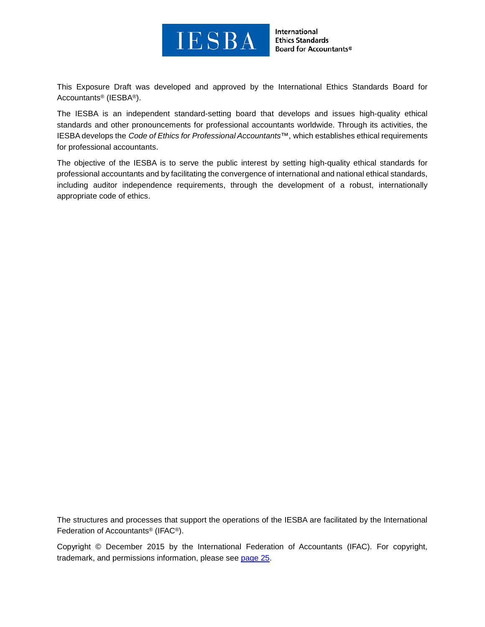

International **Ethics Standards Board for Accountants®** 

This Exposure Draft was developed and approved by the [International Ethics Standards Board for](http://www.ifac.org/ethics)  [Accountants®](http://www.ifac.org/ethics) (IESBA®).

The IESBA is an independent standard-setting board that develops and issues high-quality ethical standards and other pronouncements for professional accountants worldwide. Through its activities, the IESBA develops the *Code of Ethics for Professional Accountants™*, which establishes ethical requirements for professional accountants.

The objective of the IESBA is to serve the public interest by setting high-quality ethical standards for professional accountants and by facilitating the convergence of international and national ethical standards, including auditor independence requirements, through the development of a robust, internationally appropriate code of ethics.

The structures and processes that support the operations of the IESBA are facilitated by the International Federation of Accountants® (IFAC®).

Copyright © December 2015 by the International Federation of Accountants (IFAC). For copyright, trademark, and permissions information, please see [page 25.](#page-24-0)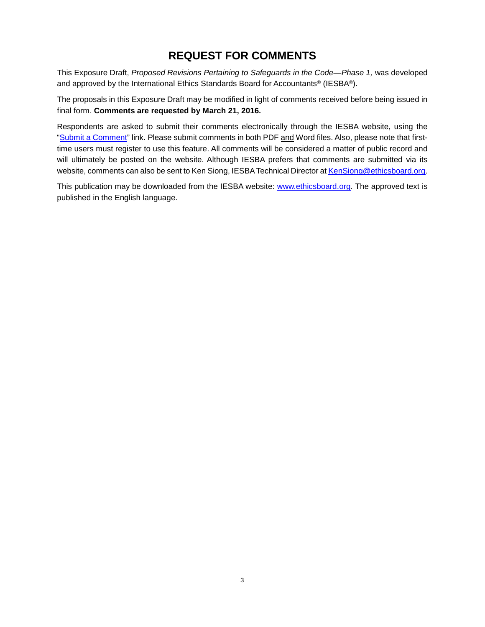# **REQUEST FOR COMMENTS**

This Exposure Draft, Proposed Revisions Pertaining to Safeguards in the Code—Phase 1, was developed and approved by the International Ethics Standards Board for Accountants® (IESBA®).

The proposals in this Exposure Draft may be modified in light of comments received before being issued in final form. **Comments are requested by March 21, 2016.**

Respondents are asked to submit their comments electronically through the IESBA website, using the ["Submit a Comment"](https://www.ifac.org/publications-resources/proposed-revisions-pertaining-safeguards-code-phase-1) link. Please submit comments in both PDF and Word files. Also, please note that firsttime users must register to use this feature. All comments will be considered a matter of public record and will ultimately be posted on the website. Although IESBA prefers that comments are submitted via its website, comments can also be sent to Ken Siong, IESBA Technical Director at [KenSiong@ethicsboard.org.](mailto:KenSiong@ethicsboard.org)

This publication may be downloaded from the IESBA website: [www.ethicsboard.org.](http://www.ethicsboard.org/) The approved text is published in the English language.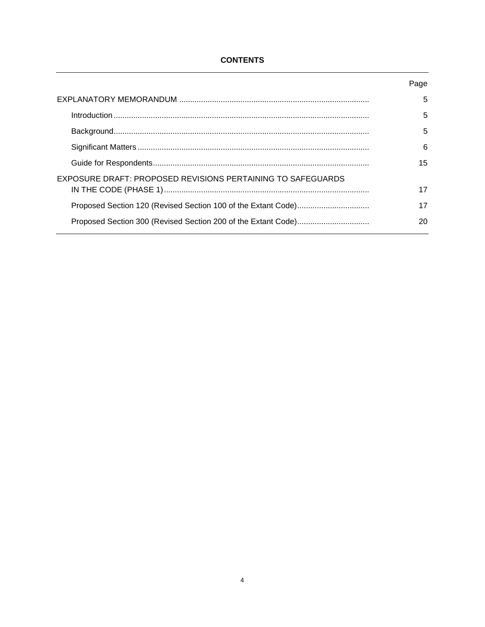## **CONTENTS**

|                                                             | Page |
|-------------------------------------------------------------|------|
|                                                             | 5    |
|                                                             | 5    |
|                                                             | 5    |
|                                                             | 6    |
|                                                             | 15   |
| EXPOSURE DRAFT: PROPOSED REVISIONS PERTAINING TO SAFEGUARDS |      |
|                                                             | 17   |
|                                                             | 17   |
|                                                             | 20   |
|                                                             |      |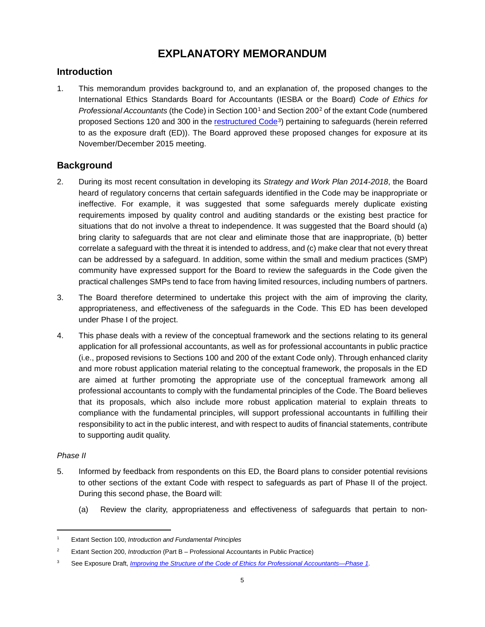# **EXPLANATORY MEMORANDUM**

## <span id="page-4-1"></span><span id="page-4-0"></span>**Introduction**

1. This memorandum provides background to, and an explanation of, the proposed changes to the International Ethics Standards Board for Accountants (IESBA or the Board) *Code of Ethics for Professional Accountants* (the Code) in Section 100[1](#page-4-3) and Section 200[2](#page-4-4) of the extant Code (numbered proposed Sections 120 and 300 in the [restructured Code](https://www.ifac.org/publications-resources/exposure-draft-improving-structure-code-ethics-professional-accountants-phase)<sup>3</sup>) pertaining to safeguards (herein referred to as the exposure draft (ED)). The Board approved these proposed changes for exposure at its November/December 2015 meeting.

# <span id="page-4-2"></span>**Background**

- 2. During its most recent consultation in developing its *Strategy and Work Plan 2014-2018*, the Board heard of regulatory concerns that certain safeguards identified in the Code may be inappropriate or ineffective. For example, it was suggested that some safeguards merely duplicate existing requirements imposed by quality control and auditing standards or the existing best practice for situations that do not involve a threat to independence. It was suggested that the Board should (a) bring clarity to safeguards that are not clear and eliminate those that are inappropriate, (b) better correlate a safeguard with the threat it is intended to address, and (c) make clear that not every threat can be addressed by a safeguard. In addition, some within the small and medium practices (SMP) community have expressed support for the Board to review the safeguards in the Code given the practical challenges SMPs tend to face from having limited resources, including numbers of partners.
- 3. The Board therefore determined to undertake this project with the aim of improving the clarity, appropriateness, and effectiveness of the safeguards in the Code. This ED has been developed under Phase I of the project.
- 4. This phase deals with a review of the conceptual framework and the sections relating to its general application for all professional accountants, as well as for professional accountants in public practice (i.e., proposed revisions to Sections 100 and 200 of the extant Code only). Through enhanced clarity and more robust application material relating to the conceptual framework, the proposals in the ED are aimed at further promoting the appropriate use of the conceptual framework among all professional accountants to comply with the fundamental principles of the Code. The Board believes that its proposals, which also include more robust application material to explain threats to compliance with the fundamental principles, will support professional accountants in fulfilling their responsibility to act in the public interest, and with respect to audits of financial statements, contribute to supporting audit quality.

## *Phase II*

 $\overline{\phantom{a}}$ 

- 5. Informed by feedback from respondents on this ED, the Board plans to consider potential revisions to other sections of the extant Code with respect to safeguards as part of Phase II of the project. During this second phase, the Board will:
	- (a) Review the clarity, appropriateness and effectiveness of safeguards that pertain to non-

<span id="page-4-3"></span><sup>1</sup> Extant Section 100, *Introduction and Fundamental Principles*

<span id="page-4-4"></span><sup>2</sup> Extant Section 200, *Introduction* (Part B – Professional Accountants in Public Practice)

<span id="page-4-5"></span><sup>3</sup> See Exposure Draft, *[Improving the Structure of the Code of Ethics for Professional Accountants](https://www.ifac.org/publications-resources/exposure-draft-improving-structure-code-ethics-professional-accountants-phase)*—*Phase 1.*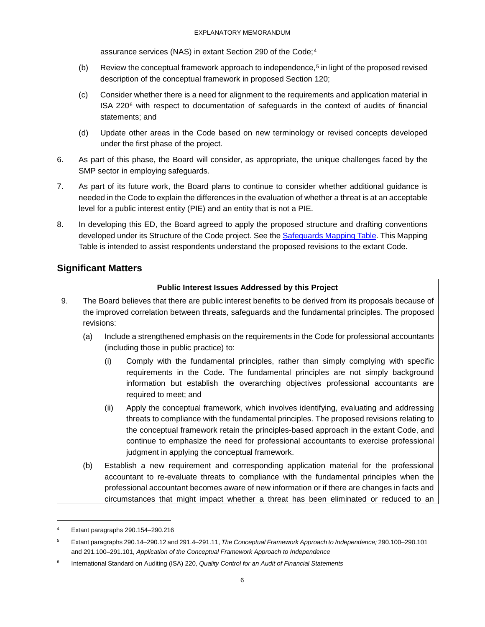assurance services (NAS) in extant Section 290 of the Code;<sup>[4](#page-5-1)</sup>

- (b) Review the conceptual framework approach to independence,<sup>[5](#page-5-2)</sup> in light of the proposed revised description of the conceptual framework in proposed Section 120;
- (c) Consider whether there is a need for alignment to the requirements and application material in ISA 220[6](#page-5-3) with respect to documentation of safeguards in the context of audits of financial statements; and
- (d) Update other areas in the Code based on new terminology or revised concepts developed under the first phase of the project.
- 6. As part of this phase, the Board will consider, as appropriate, the unique challenges faced by the SMP sector in employing safeguards.
- 7. As part of its future work, the Board plans to continue to consider whether additional guidance is needed in the Code to explain the differences in the evaluation of whether a threat is at an acceptable level for a public interest entity (PIE) and an entity that is not a PIE.
- 8. In developing this ED, the Board agreed to apply the proposed structure and drafting conventions developed under its Structure of the Code project. See the [Safeguards Mapping Table.](https://www.ifac.org/publications-resources/proposed-revisions-pertaining-safeguards-code-phase-1) This Mapping Table is intended to assist respondents understand the proposed revisions to the extant Code.

# <span id="page-5-0"></span>**Significant Matters**

## **Public Interest Issues Addressed by this Project**

- 9. The Board believes that there are public interest benefits to be derived from its proposals because of the improved correlation between threats, safeguards and the fundamental principles. The proposed revisions:
	- (a) Include a strengthened emphasis on the requirements in the Code for professional accountants (including those in public practice) to:
		- (i) Comply with the fundamental principles, rather than simply complying with specific requirements in the Code. The fundamental principles are not simply background information but establish the overarching objectives professional accountants are required to meet; and
		- (ii) Apply the conceptual framework, which involves identifying, evaluating and addressing threats to compliance with the fundamental principles. The proposed revisions relating to the conceptual framework retain the principles-based approach in the extant Code, and continue to emphasize the need for professional accountants to exercise professional judgment in applying the conceptual framework.
	- (b) Establish a new requirement and corresponding application material for the professional accountant to re-evaluate threats to compliance with the fundamental principles when the professional accountant becomes aware of new information or if there are changes in facts and circumstances that might impact whether a threat has been eliminated or reduced to an

 $\overline{\phantom{a}}$ 

<span id="page-5-1"></span><sup>4</sup> Extant paragraphs 290.154–290.216

<span id="page-5-2"></span><sup>5</sup> Extant paragraphs 290.14–290.12 and 291.4–291.11, *The Conceptual Framework Approach to Independence;* 290.100–290.101 and 291.100–291.101, *Application of the Conceptual Framework Approach to Independence*

<span id="page-5-3"></span><sup>6</sup> International Standard on Auditing (ISA) 220, *Quality Control for an Audit of Financial Statements*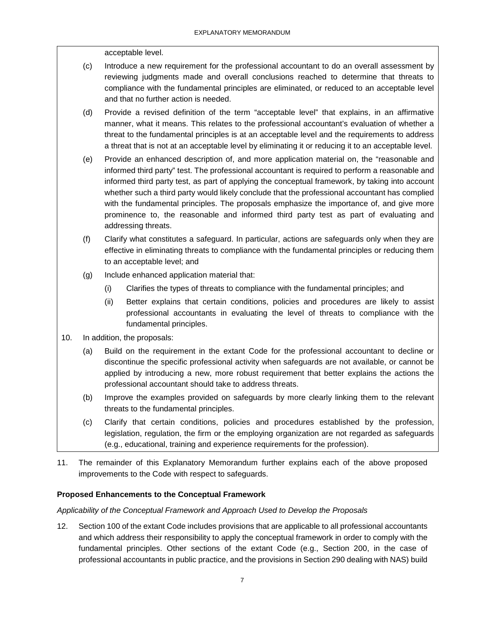acceptable level.

- (c) Introduce a new requirement for the professional accountant to do an overall assessment by reviewing judgments made and overall conclusions reached to determine that threats to compliance with the fundamental principles are eliminated, or reduced to an acceptable level and that no further action is needed.
- (d) Provide a revised definition of the term "acceptable level" that explains, in an affirmative manner, what it means. This relates to the professional accountant's evaluation of whether a threat to the fundamental principles is at an acceptable level and the requirements to address a threat that is not at an acceptable level by eliminating it or reducing it to an acceptable level.
- (e) Provide an enhanced description of, and more application material on, the "reasonable and informed third party" test. The professional accountant is required to perform a reasonable and informed third party test, as part of applying the conceptual framework, by taking into account whether such a third party would likely conclude that the professional accountant has complied with the fundamental principles. The proposals emphasize the importance of, and give more prominence to, the reasonable and informed third party test as part of evaluating and addressing threats.
- (f) Clarify what constitutes a safeguard. In particular, actions are safeguards only when they are effective in eliminating threats to compliance with the fundamental principles or reducing them to an acceptable level; and
- (g) Include enhanced application material that:
	- (i) Clarifies the types of threats to compliance with the fundamental principles; and
	- (ii) Better explains that certain conditions, policies and procedures are likely to assist professional accountants in evaluating the level of threats to compliance with the fundamental principles.
- 10. In addition, the proposals:
	- (a) Build on the requirement in the extant Code for the professional accountant to decline or discontinue the specific professional activity when safeguards are not available, or cannot be applied by introducing a new, more robust requirement that better explains the actions the professional accountant should take to address threats.
	- (b) Improve the examples provided on safeguards by more clearly linking them to the relevant threats to the fundamental principles.
	- (c) Clarify that certain conditions, policies and procedures established by the profession, legislation, regulation, the firm or the employing organization are not regarded as safeguards (e.g., educational, training and experience requirements for the profession).
- 11. The remainder of this Explanatory Memorandum further explains each of the above proposed improvements to the Code with respect to safeguards.

## **Proposed Enhancements to the Conceptual Framework**

*Applicability of the Conceptual Framework and Approach Used to Develop the Proposals* 

12. Section 100 of the extant Code includes provisions that are applicable to all professional accountants and which address their responsibility to apply the conceptual framework in order to comply with the fundamental principles. Other sections of the extant Code (e.g., Section 200, in the case of professional accountants in public practice, and the provisions in Section 290 dealing with NAS) build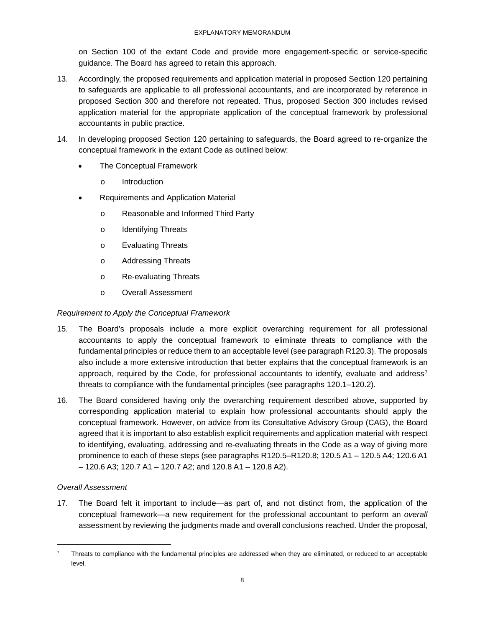on Section 100 of the extant Code and provide more engagement-specific or service-specific guidance. The Board has agreed to retain this approach.

- 13. Accordingly, the proposed requirements and application material in proposed Section 120 pertaining to safeguards are applicable to all professional accountants, and are incorporated by reference in proposed Section 300 and therefore not repeated. Thus, proposed Section 300 includes revised application material for the appropriate application of the conceptual framework by professional accountants in public practice.
- 14. In developing proposed Section 120 pertaining to safeguards, the Board agreed to re-organize the conceptual framework in the extant Code as outlined below:
	- The Conceptual Framework
		- o Introduction
	- Requirements and Application Material
		- o Reasonable and Informed Third Party
		- o Identifying Threats
		- o Evaluating Threats
		- o Addressing Threats
		- o Re-evaluating Threats
		- o Overall Assessment

## *Requirement to Apply the Conceptual Framework*

- 15. The Board's proposals include a more explicit overarching requirement for all professional accountants to apply the conceptual framework to eliminate threats to compliance with the fundamental principles or reduce them to an acceptable level (see paragraph R120.3). The proposals also include a more extensive introduction that better explains that the conceptual framework is an approach, required by the Code, for professional accountants to identify, evaluate and address<sup>[7](#page-7-0)</sup> threats to compliance with the fundamental principles (see paragraphs 120.1–120.2).
- 16. The Board considered having only the overarching requirement described above, supported by corresponding application material to explain how professional accountants should apply the conceptual framework. However, on advice from its Consultative Advisory Group (CAG), the Board agreed that it is important to also establish explicit requirements and application material with respect to identifying, evaluating, addressing and re-evaluating threats in the Code as a way of giving more prominence to each of these steps (see paragraphs R120.5–R120.8; 120.5 A1 – 120.5 A4; 120.6 A1 – 120.6 A3; 120.7 A1 – 120.7 A2; and 120.8 A1 – 120.8 A2).

## *Overall Assessment*

 $\overline{\phantom{a}}$ 

17. The Board felt it important to include—as part of, and not distinct from, the application of the conceptual framework—a new requirement for the professional accountant to perform an *overall* assessment by reviewing the judgments made and overall conclusions reached. Under the proposal,

<span id="page-7-0"></span><sup>7</sup> Threats to compliance with the fundamental principles are addressed when they are eliminated, or reduced to an acceptable level.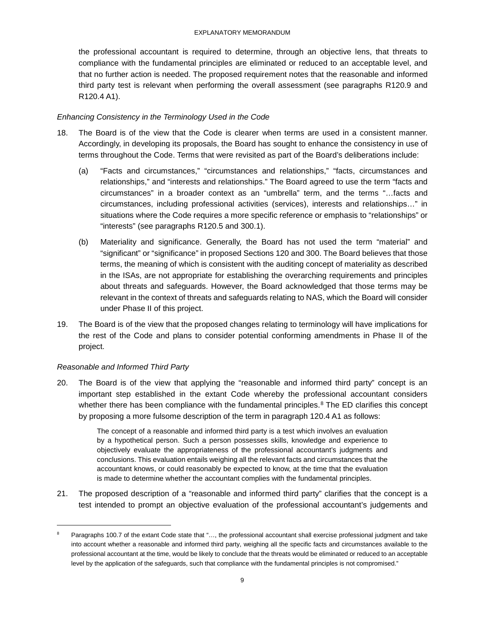the professional accountant is required to determine, through an objective lens, that threats to compliance with the fundamental principles are eliminated or reduced to an acceptable level, and that no further action is needed. The proposed requirement notes that the reasonable and informed third party test is relevant when performing the overall assessment (see paragraphs R120.9 and R120.4 A1).

## *Enhancing Consistency in the Terminology Used in the Code*

- 18. The Board is of the view that the Code is clearer when terms are used in a consistent manner. Accordingly, in developing its proposals, the Board has sought to enhance the consistency in use of terms throughout the Code. Terms that were revisited as part of the Board's deliberations include:
	- (a) "Facts and circumstances," "circumstances and relationships," "facts, circumstances and relationships," and "interests and relationships." The Board agreed to use the term "facts and circumstances" in a broader context as an "umbrella" term, and the terms "…facts and circumstances, including professional activities (services), interests and relationships…" in situations where the Code requires a more specific reference or emphasis to "relationships" or "interests" (see paragraphs R120.5 and 300.1).
	- (b) Materiality and significance. Generally, the Board has not used the term "material" and "significant" or "significance" in proposed Sections 120 and 300. The Board believes that those terms, the meaning of which is consistent with the auditing concept of materiality as described in the ISAs, are not appropriate for establishing the overarching requirements and principles about threats and safeguards. However, the Board acknowledged that those terms may be relevant in the context of threats and safeguards relating to NAS, which the Board will consider under Phase II of this project.
- 19. The Board is of the view that the proposed changes relating to terminology will have implications for the rest of the Code and plans to consider potential conforming amendments in Phase II of the project.

## *Reasonable and Informed Third Party*

 $\overline{\phantom{a}}$ 

20. The Board is of the view that applying the "reasonable and informed third party" concept is an important step established in the extant Code whereby the professional accountant considers whether there has been compliance with the fundamental principles.<sup>[8](#page-8-0)</sup> The ED clarifies this concept by proposing a more fulsome description of the term in paragraph 120.4 A1 as follows:

> The concept of a reasonable and informed third party is a test which involves an evaluation by a hypothetical person. Such a person possesses skills, knowledge and experience to objectively evaluate the appropriateness of the professional accountant's judgments and conclusions. This evaluation entails weighing all the relevant facts and circumstances that the accountant knows, or could reasonably be expected to know, at the time that the evaluation is made to determine whether the accountant complies with the fundamental principles.

21. The proposed description of a "reasonable and informed third party" clarifies that the concept is a test intended to prompt an objective evaluation of the professional accountant's judgements and

<span id="page-8-0"></span><sup>8</sup> Paragraphs 100.7 of the extant Code state that "…, the professional accountant shall exercise professional judgment and take into account whether a reasonable and informed third party, weighing all the specific facts and circumstances available to the professional accountant at the time, would be likely to conclude that the threats would be eliminated or reduced to an acceptable level by the application of the safeguards, such that compliance with the fundamental principles is not compromised."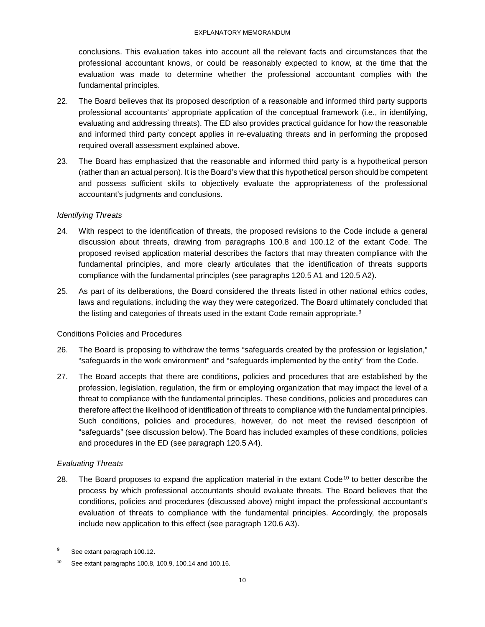conclusions. This evaluation takes into account all the relevant facts and circumstances that the professional accountant knows, or could be reasonably expected to know, at the time that the evaluation was made to determine whether the professional accountant complies with the fundamental principles.

- 22. The Board believes that its proposed description of a reasonable and informed third party supports professional accountants' appropriate application of the conceptual framework (i.e., in identifying, evaluating and addressing threats). The ED also provides practical guidance for how the reasonable and informed third party concept applies in re-evaluating threats and in performing the proposed required overall assessment explained above.
- 23. The Board has emphasized that the reasonable and informed third party is a hypothetical person (rather than an actual person). It is the Board's view that this hypothetical person should be competent and possess sufficient skills to objectively evaluate the appropriateness of the professional accountant's judgments and conclusions.

## *Identifying Threats*

- 24. With respect to the identification of threats, the proposed revisions to the Code include a general discussion about threats, drawing from paragraphs 100.8 and 100.12 of the extant Code. The proposed revised application material describes the factors that may threaten compliance with the fundamental principles, and more clearly articulates that the identification of threats supports compliance with the fundamental principles (see paragraphs 120.5 A1 and 120.5 A2).
- 25. As part of its deliberations, the Board considered the threats listed in other national ethics codes, laws and regulations, including the way they were categorized. The Board ultimately concluded that the listing and categories of threats used in the extant Code remain appropriate.<sup>[9](#page-9-0)</sup>

## Conditions Policies and Procedures

- 26. The Board is proposing to withdraw the terms "safeguards created by the profession or legislation," "safeguards in the work environment" and "safeguards implemented by the entity" from the Code.
- 27. The Board accepts that there are conditions, policies and procedures that are established by the profession, legislation, regulation, the firm or employing organization that may impact the level of a threat to compliance with the fundamental principles. These conditions, policies and procedures can therefore affect the likelihood of identification of threats to compliance with the fundamental principles. Such conditions, policies and procedures, however, do not meet the revised description of "safeguards" (see discussion below). The Board has included examples of these conditions, policies and procedures in the ED (see paragraph 120.5 A4).

## *Evaluating Threats*

28. The Board proposes to expand the application material in the extant Code<sup>[10](#page-9-1)</sup> to better describe the process by which professional accountants should evaluate threats. The Board believes that the conditions, policies and procedures (discussed above) might impact the professional accountant's evaluation of threats to compliance with the fundamental principles. Accordingly, the proposals include new application to this effect (see paragraph 120.6 A3).

<span id="page-9-0"></span><sup>&</sup>lt;sup>9</sup> See extant paragraph 100.12.

<span id="page-9-1"></span>See extant paragraphs 100.8, 100.9, 100.14 and 100.16.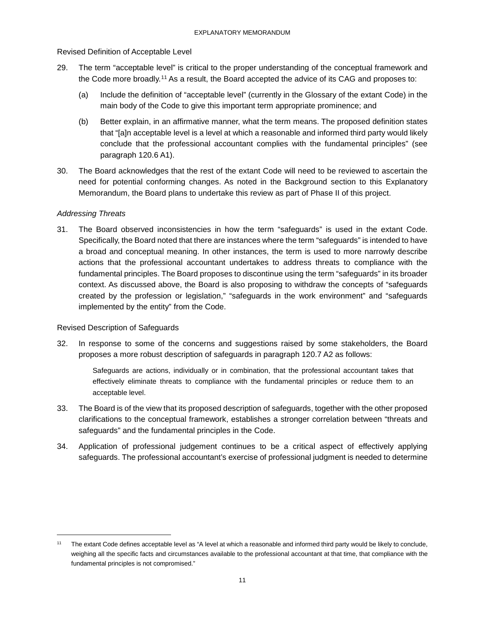## Revised Definition of Acceptable Level

- 29. The term "acceptable level" is critical to the proper understanding of the conceptual framework and the Code more broadly.[11](#page-10-0) As a result, the Board accepted the advice of its CAG and proposes to:
	- (a) Include the definition of "acceptable level" (currently in the Glossary of the extant Code) in the main body of the Code to give this important term appropriate prominence; and
	- (b) Better explain, in an affirmative manner, what the term means. The proposed definition states that "[a]n acceptable level is a level at which a reasonable and informed third party would likely conclude that the professional accountant complies with the fundamental principles" (see paragraph 120.6 A1).
- 30. The Board acknowledges that the rest of the extant Code will need to be reviewed to ascertain the need for potential conforming changes. As noted in the Background section to this Explanatory Memorandum, the Board plans to undertake this review as part of Phase II of this project.

## *Addressing Threats*

 $\overline{\phantom{a}}$ 

31. The Board observed inconsistencies in how the term "safeguards" is used in the extant Code. Specifically, the Board noted that there are instances where the term "safeguards" is intended to have a broad and conceptual meaning. In other instances, the term is used to more narrowly describe actions that the professional accountant undertakes to address threats to compliance with the fundamental principles. The Board proposes to discontinue using the term "safeguards" in its broader context. As discussed above, the Board is also proposing to withdraw the concepts of "safeguards created by the profession or legislation," "safeguards in the work environment" and "safeguards implemented by the entity" from the Code.

### Revised Description of Safeguards

32. In response to some of the concerns and suggestions raised by some stakeholders, the Board proposes a more robust description of safeguards in paragraph 120.7 A2 as follows:

Safeguards are actions, individually or in combination, that the professional accountant takes that effectively eliminate threats to compliance with the fundamental principles or reduce them to an acceptable level.

- 33. The Board is of the view that its proposed description of safeguards, together with the other proposed clarifications to the conceptual framework, establishes a stronger correlation between "threats and safeguards" and the fundamental principles in the Code.
- 34. Application of professional judgement continues to be a critical aspect of effectively applying safeguards. The professional accountant's exercise of professional judgment is needed to determine

<span id="page-10-0"></span>The extant Code defines acceptable level as "A level at which a reasonable and informed third party would be likely to conclude, weighing all the specific facts and circumstances available to the professional accountant at that time, that compliance with the fundamental principles is not compromised."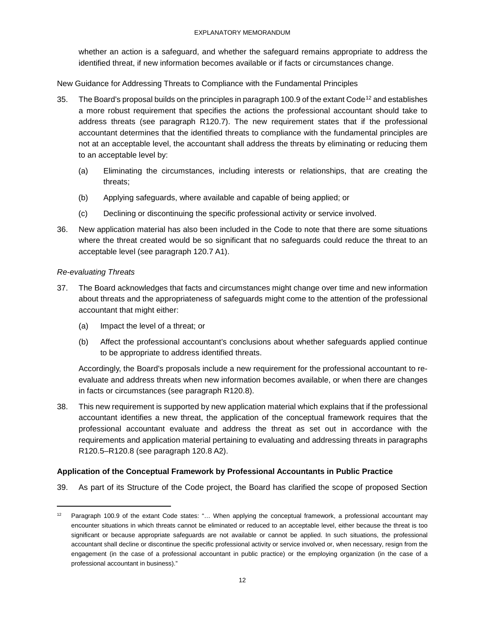#### EXPLANATORY MEMORANDUM

whether an action is a safeguard, and whether the safeguard remains appropriate to address the identified threat, if new information becomes available or if facts or circumstances change.

New Guidance for Addressing Threats to Compliance with the Fundamental Principles

- 35. The Board's proposal builds on the principles in paragraph 100.9 of the extant Code<sup>[12](#page-11-0)</sup> and establishes a more robust requirement that specifies the actions the professional accountant should take to address threats (see paragraph R120.7). The new requirement states that if the professional accountant determines that the identified threats to compliance with the fundamental principles are not at an acceptable level, the accountant shall address the threats by eliminating or reducing them to an acceptable level by:
	- (a) Eliminating the circumstances, including interests or relationships, that are creating the threats;
	- (b) Applying safeguards, where available and capable of being applied; or
	- (c) Declining or discontinuing the specific professional activity or service involved.
- 36. New application material has also been included in the Code to note that there are some situations where the threat created would be so significant that no safeguards could reduce the threat to an acceptable level (see paragraph 120.7 A1).

### *Re-evaluating Threats*

 $\overline{\phantom{a}}$ 

- 37. The Board acknowledges that facts and circumstances might change over time and new information about threats and the appropriateness of safeguards might come to the attention of the professional accountant that might either:
	- (a) Impact the level of a threat; or
	- (b) Affect the professional accountant's conclusions about whether safeguards applied continue to be appropriate to address identified threats.

Accordingly, the Board's proposals include a new requirement for the professional accountant to reevaluate and address threats when new information becomes available, or when there are changes in facts or circumstances (see paragraph R120.8).

38. This new requirement is supported by new application material which explains that if the professional accountant identifies a new threat, the application of the conceptual framework requires that the professional accountant evaluate and address the threat as set out in accordance with the requirements and application material pertaining to evaluating and addressing threats in paragraphs R120.5–R120.8 (see paragraph 120.8 A2).

### **Application of the Conceptual Framework by Professional Accountants in Public Practice**

39. As part of its Structure of the Code project, the Board has clarified the scope of proposed Section

<span id="page-11-0"></span><sup>12</sup> Paragraph 100.9 of the extant Code states: "... When applying the conceptual framework, a professional accountant may encounter situations in which threats cannot be eliminated or reduced to an acceptable level, either because the threat is too significant or because appropriate safeguards are not available or cannot be applied. In such situations, the professional accountant shall decline or discontinue the specific professional activity or service involved or, when necessary, resign from the engagement (in the case of a professional accountant in public practice) or the employing organization (in the case of a professional accountant in business)."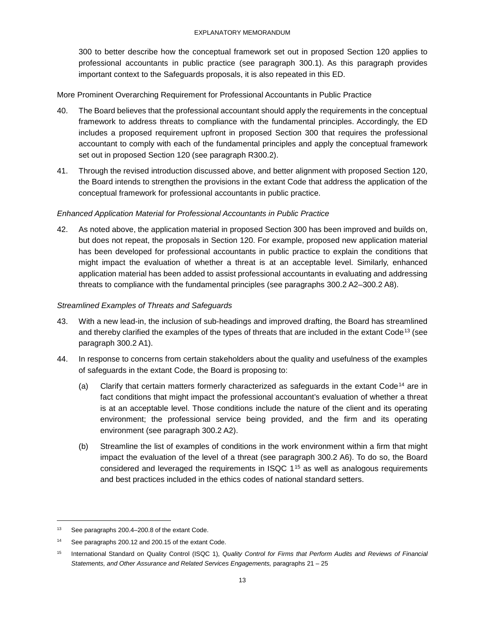300 to better describe how the conceptual framework set out in proposed Section 120 applies to professional accountants in public practice (see paragraph 300.1). As this paragraph provides important context to the Safeguards proposals, it is also repeated in this ED.

More Prominent Overarching Requirement for Professional Accountants in Public Practice

- 40. The Board believes that the professional accountant should apply the requirements in the conceptual framework to address threats to compliance with the fundamental principles. Accordingly, the ED includes a proposed requirement upfront in proposed Section 300 that requires the professional accountant to comply with each of the fundamental principles and apply the conceptual framework set out in proposed Section 120 (see paragraph R300.2).
- 41. Through the revised introduction discussed above, and better alignment with proposed Section 120, the Board intends to strengthen the provisions in the extant Code that address the application of the conceptual framework for professional accountants in public practice.

## *Enhanced Application Material for Professional Accountants in Public Practice*

42. As noted above, the application material in proposed Section 300 has been improved and builds on, but does not repeat, the proposals in Section 120. For example, proposed new application material has been developed for professional accountants in public practice to explain the conditions that might impact the evaluation of whether a threat is at an acceptable level. Similarly, enhanced application material has been added to assist professional accountants in evaluating and addressing threats to compliance with the fundamental principles (see paragraphs 300.2 A2–300.2 A8).

## *Streamlined Examples of Threats and Safeguards*

- 43. With a new lead-in, the inclusion of sub-headings and improved drafting, the Board has streamlined and thereby clarified the examples of the types of threats that are included in the extant Code[13](#page-12-0) (see paragraph 300.2 A1).
- 44. In response to concerns from certain stakeholders about the quality and usefulness of the examples of safeguards in the extant Code, the Board is proposing to:
	- (a) Clarify that certain matters formerly characterized as safeguards in the extant Code[14](#page-12-1) are in fact conditions that might impact the professional accountant's evaluation of whether a threat is at an acceptable level. Those conditions include the nature of the client and its operating environment; the professional service being provided, and the firm and its operating environment (see paragraph 300.2 A2).
	- (b) Streamline the list of examples of conditions in the work environment within a firm that might impact the evaluation of the level of a threat (see paragraph 300.2 A6). To do so, the Board considered and leveraged the requirements in ISQC  $1^{15}$  $1^{15}$  $1^{15}$  as well as analogous requirements and best practices included in the ethics codes of national standard setters.

 $\overline{\phantom{a}}$ 

<span id="page-12-0"></span><sup>13</sup> See paragraphs 200.4–200.8 of the extant Code.

<span id="page-12-1"></span><sup>&</sup>lt;sup>14</sup> See paragraphs 200.12 and 200.15 of the extant Code.

<span id="page-12-2"></span><sup>15</sup> International Standard on Quality Control (ISQC 1), *Quality Control for Firms that Perform Audits and Reviews of Financial Statements, and Other Assurance and Related Services Engagements,* paragraphs 21 – 25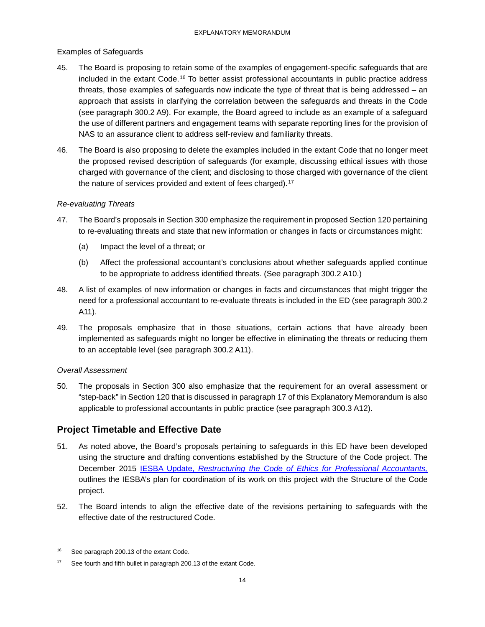## Examples of Safeguards

- 45. The Board is proposing to retain some of the examples of engagement-specific safeguards that are included in the extant Code.[16](#page-13-0) To better assist professional accountants in public practice address threats, those examples of safeguards now indicate the type of threat that is being addressed – an approach that assists in clarifying the correlation between the safeguards and threats in the Code (see paragraph 300.2 A9). For example, the Board agreed to include as an example of a safeguard the use of different partners and engagement teams with separate reporting lines for the provision of NAS to an assurance client to address self-review and familiarity threats.
- 46. The Board is also proposing to delete the examples included in the extant Code that no longer meet the proposed revised description of safeguards (for example, discussing ethical issues with those charged with governance of the client; and disclosing to those charged with governance of the client the nature of services provided and extent of fees charged).<sup>[17](#page-13-1)</sup>

## *Re-evaluating Threats*

- 47. The Board's proposals in Section 300 emphasize the requirement in proposed Section 120 pertaining to re-evaluating threats and state that new information or changes in facts or circumstances might:
	- (a) Impact the level of a threat; or
	- (b) Affect the professional accountant's conclusions about whether safeguards applied continue to be appropriate to address identified threats. (See paragraph 300.2 A10.)
- 48. A list of examples of new information or changes in facts and circumstances that might trigger the need for a professional accountant to re-evaluate threats is included in the ED (see paragraph 300.2 A11).
- 49. The proposals emphasize that in those situations, certain actions that have already been implemented as safeguards might no longer be effective in eliminating the threats or reducing them to an acceptable level (see paragraph 300.2 A11).

### *Overall Assessment*

50. The proposals in Section 300 also emphasize that the requirement for an overall assessment or "step-back" in Section 120 that is discussed in paragraph 17 of this Explanatory Memorandum is also applicable to professional accountants in public practice (see paragraph 300.3 A12).

## **Project Timetable and Effective Date**

- 51. As noted above, the Board's proposals pertaining to safeguards in this ED have been developed using the structure and drafting conventions established by the Structure of the Code project. The December 2015 IESBA Update, *[Restructuring the Code of Ethics for Professional Accountants,](https://www.ifac.org/publications-resources/exposure-draft-improving-structure-code-ethics-professional-accountants-phase)* outlines the IESBA's plan for coordination of its work on this project with the Structure of the Code project.
- 52. The Board intends to align the effective date of the revisions pertaining to safeguards with the effective date of the restructured Code.

 $\overline{\phantom{a}}$ 

<span id="page-13-0"></span><sup>&</sup>lt;sup>16</sup> See paragraph 200.13 of the extant Code.

<span id="page-13-1"></span><sup>&</sup>lt;sup>17</sup> See fourth and fifth bullet in paragraph 200.13 of the extant Code.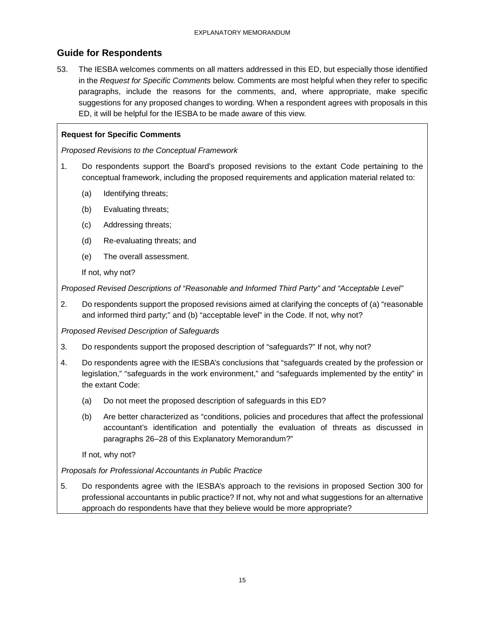## <span id="page-14-0"></span>**Guide for Respondents**

53. The IESBA welcomes comments on all matters addressed in this ED, but especially those identified in the *Request for Specific Comments* below. Comments are most helpful when they refer to specific paragraphs, include the reasons for the comments, and, where appropriate, make specific suggestions for any proposed changes to wording. When a respondent agrees with proposals in this ED, it will be helpful for the IESBA to be made aware of this view.

## **Request for Specific Comments**

*Proposed Revisions to the Conceptual Framework* 

- 1. Do respondents support the Board's proposed revisions to the extant Code pertaining to the conceptual framework, including the proposed requirements and application material related to:
	- (a) Identifying threats;
	- (b) Evaluating threats;
	- (c) Addressing threats;
	- (d) Re-evaluating threats; and
	- (e) The overall assessment.

If not, why not?

*Proposed Revised Descriptions of "Reasonable and Informed Third Party" and "Acceptable Level"* 

2. Do respondents support the proposed revisions aimed at clarifying the concepts of (a) "reasonable and informed third party;" and (b) "acceptable level" in the Code. If not, why not?

*Proposed Revised Description of Safeguards* 

- 3. Do respondents support the proposed description of "safeguards?" If not, why not?
- 4. Do respondents agree with the IESBA's conclusions that "safeguards created by the profession or legislation," "safeguards in the work environment," and "safeguards implemented by the entity" in the extant Code:
	- (a) Do not meet the proposed description of safeguards in this ED?
	- (b) Are better characterized as "conditions, policies and procedures that affect the professional accountant's identification and potentially the evaluation of threats as discussed in paragraphs 26–28 of this Explanatory Memorandum?"

If not, why not?

*Proposals for Professional Accountants in Public Practice*

5. Do respondents agree with the IESBA's approach to the revisions in proposed Section 300 for professional accountants in public practice? If not, why not and what suggestions for an alternative approach do respondents have that they believe would be more appropriate?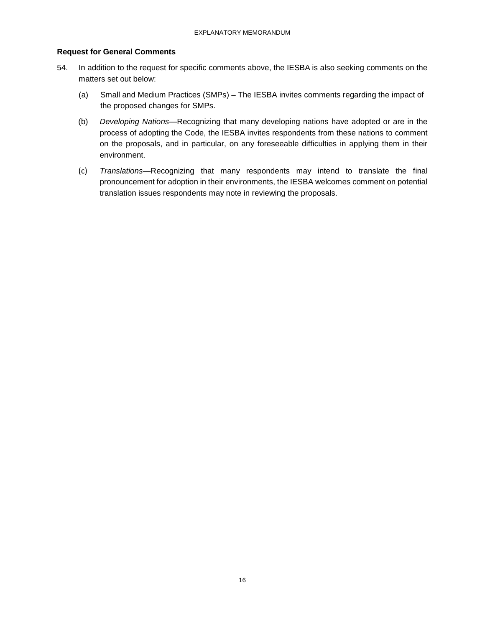## **Request for General Comments**

- 54. In addition to the request for specific comments above, the IESBA is also seeking comments on the matters set out below:
	- (a) Small and Medium Practices (SMPs) The IESBA invites comments regarding the impact of the proposed changes for SMPs.
	- (b) *Developing Nations*—Recognizing that many developing nations have adopted or are in the process of adopting the Code, the IESBA invites respondents from these nations to comment on the proposals, and in particular, on any foreseeable difficulties in applying them in their environment.
	- (c) *Translations*—Recognizing that many respondents may intend to translate the final pronouncement for adoption in their environments, the IESBA welcomes comment on potential translation issues respondents may note in reviewing the proposals.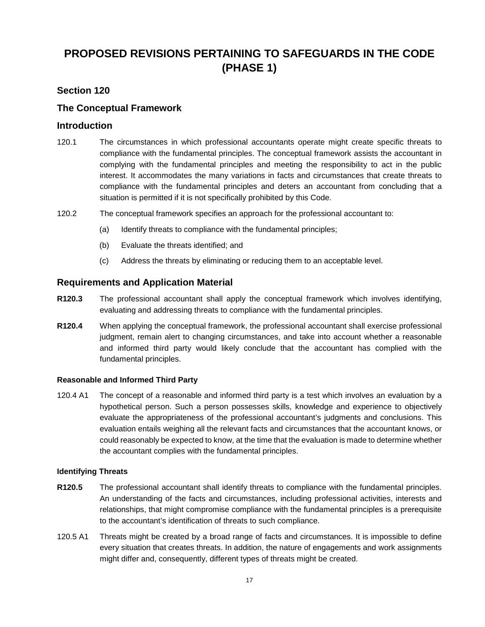# <span id="page-16-0"></span>**PROPOSED REVISIONS PERTAINING TO SAFEGUARDS IN THE CODE (PHASE 1)**

## **Section 120**

## <span id="page-16-1"></span>**The Conceptual Framework**

## **Introduction**

- 120.1 The circumstances in which professional accountants operate might create specific threats to compliance with the fundamental principles. The conceptual framework assists the accountant in complying with the fundamental principles and meeting the responsibility to act in the public interest. It accommodates the many variations in facts and circumstances that create threats to compliance with the fundamental principles and deters an accountant from concluding that a situation is permitted if it is not specifically prohibited by this Code.
- 120.2 The conceptual framework specifies an approach for the professional accountant to:
	- (a) Identify threats to compliance with the fundamental principles;
	- (b) Evaluate the threats identified; and
	- (c) Address the threats by eliminating or reducing them to an acceptable level.

## **Requirements and Application Material**

- **R120.3** The professional accountant shall apply the conceptual framework which involves identifying, evaluating and addressing threats to compliance with the fundamental principles.
- **R120.4** When applying the conceptual framework, the professional accountant shall exercise professional judgment, remain alert to changing circumstances, and take into account whether a reasonable and informed third party would likely conclude that the accountant has complied with the fundamental principles.

### **Reasonable and Informed Third Party**

120.4 A1 The concept of a reasonable and informed third party is a test which involves an evaluation by a hypothetical person. Such a person possesses skills, knowledge and experience to objectively evaluate the appropriateness of the professional accountant's judgments and conclusions. This evaluation entails weighing all the relevant facts and circumstances that the accountant knows, or could reasonably be expected to know, at the time that the evaluation is made to determine whether the accountant complies with the fundamental principles.

### **Identifying Threats**

- **R120.5** The professional accountant shall identify threats to compliance with the fundamental principles. An understanding of the facts and circumstances, including professional activities, interests and relationships, that might compromise compliance with the fundamental principles is a prerequisite to the accountant's identification of threats to such compliance.
- 120.5 A1 Threats might be created by a broad range of facts and circumstances. It is impossible to define every situation that creates threats. In addition, the nature of engagements and work assignments might differ and, consequently, different types of threats might be created.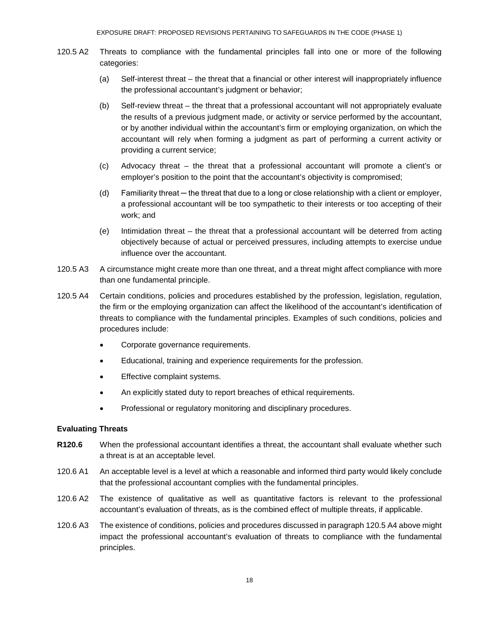- 120.5 A2 Threats to compliance with the fundamental principles fall into one or more of the following categories:
	- (a) Self-interest threat the threat that a financial or other interest will inappropriately influence the professional accountant's judgment or behavior;
	- (b) Self-review threat the threat that a professional accountant will not appropriately evaluate the results of a previous judgment made, or activity or service performed by the accountant, or by another individual within the accountant's firm or employing organization, on which the accountant will rely when forming a judgment as part of performing a current activity or providing a current service;
	- (c) Advocacy threat the threat that a professional accountant will promote a client's or employer's position to the point that the accountant's objectivity is compromised;
	- (d) Familiarity threat the threat that due to a long or close relationship with a client or employer, a professional accountant will be too sympathetic to their interests or too accepting of their work; and
	- (e) Intimidation threat the threat that a professional accountant will be deterred from acting objectively because of actual or perceived pressures, including attempts to exercise undue influence over the accountant.
- 120.5 A3 A circumstance might create more than one threat, and a threat might affect compliance with more than one fundamental principle.
- 120.5 A4 Certain conditions, policies and procedures established by the profession, legislation, regulation, the firm or the employing organization can affect the likelihood of the accountant's identification of threats to compliance with the fundamental principles. Examples of such conditions, policies and procedures include:
	- Corporate governance requirements.
	- Educational, training and experience requirements for the profession.
	- Effective complaint systems.
	- An explicitly stated duty to report breaches of ethical requirements.
	- Professional or regulatory monitoring and disciplinary procedures.

### **Evaluating Threats**

- **R120.6** When the professional accountant identifies a threat, the accountant shall evaluate whether such a threat is at an acceptable level.
- 120.6 A1 An acceptable level is a level at which a reasonable and informed third party would likely conclude that the professional accountant complies with the fundamental principles.
- 120.6 A2 The existence of qualitative as well as quantitative factors is relevant to the professional accountant's evaluation of threats, as is the combined effect of multiple threats, if applicable.
- 120.6 A3 The existence of conditions, policies and procedures discussed in paragraph 120.5 A4 above might impact the professional accountant's evaluation of threats to compliance with the fundamental principles.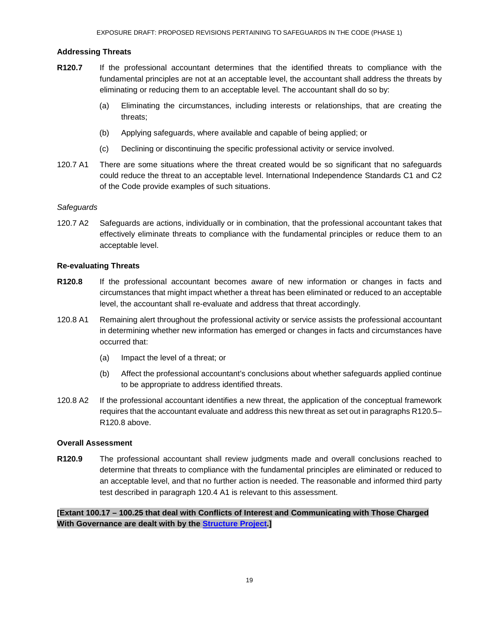## **Addressing Threats**

- **R120.7** If the professional accountant determines that the identified threats to compliance with the fundamental principles are not at an acceptable level, the accountant shall address the threats by eliminating or reducing them to an acceptable level. The accountant shall do so by:
	- (a) Eliminating the circumstances, including interests or relationships, that are creating the threats;
	- (b) Applying safeguards, where available and capable of being applied; or
	- (c) Declining or discontinuing the specific professional activity or service involved.
- 120.7 A1 There are some situations where the threat created would be so significant that no safeguards could reduce the threat to an acceptable level. International Independence Standards C1 and C2 of the Code provide examples of such situations.

### *Safeguards*

120.7 A2 Safeguards are actions, individually or in combination, that the professional accountant takes that effectively eliminate threats to compliance with the fundamental principles or reduce them to an acceptable level.

### **Re-evaluating Threats**

- **R120.8** If the professional accountant becomes aware of new information or changes in facts and circumstances that might impact whether a threat has been eliminated or reduced to an acceptable level, the accountant shall re-evaluate and address that threat accordingly.
- 120.8 A1 Remaining alert throughout the professional activity or service assists the professional accountant in determining whether new information has emerged or changes in facts and circumstances have occurred that:
	- (a) Impact the level of a threat; or
	- (b) Affect the professional accountant's conclusions about whether safeguards applied continue to be appropriate to address identified threats.
- 120.8 A2 If the professional accountant identifies a new threat, the application of the conceptual framework requires that the accountant evaluate and address this new threat as set out in paragraphs R120.5– R120.8 above.

### **Overall Assessment**

**R120.9** The professional accountant shall review judgments made and overall conclusions reached to determine that threats to compliance with the fundamental principles are eliminated or reduced to an acceptable level, and that no further action is needed. The reasonable and informed third party test described in paragraph 120.4 A1 is relevant to this assessment.

**[Extant 100.17 – 100.25 that deal with Conflicts of Interest and Communicating with Those Charged With Governance are dealt with by the [Structure Project.](http://www.ethicsboard.org/projects/structure-code)]**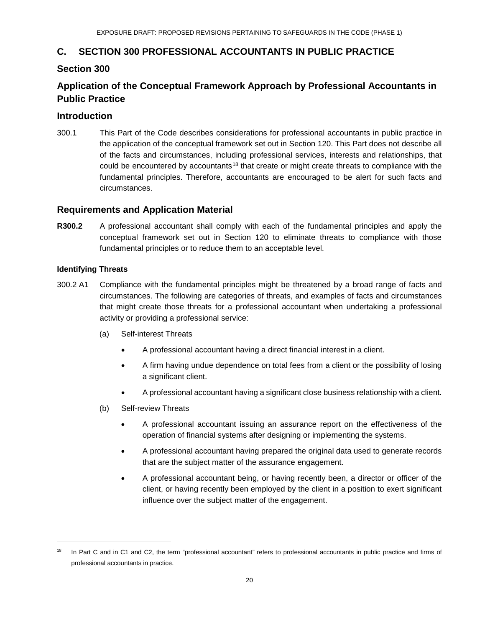## **C. SECTION 300 PROFESSIONAL ACCOUNTANTS IN PUBLIC PRACTICE**

## <span id="page-19-0"></span>**Section 300**

# **Application of the Conceptual Framework Approach by Professional Accountants in Public Practice**

## **Introduction**

300.1 This Part of the Code describes considerations for professional accountants in public practice in the application of the conceptual framework set out in Section 120. This Part does not describe all of the facts and circumstances, including professional services, interests and relationships, that could be encountered by accountants<sup>[18](#page-19-1)</sup> that create or might create threats to compliance with the fundamental principles. Therefore, accountants are encouraged to be alert for such facts and circumstances.

## **Requirements and Application Material**

**R300.2** A professional accountant shall comply with each of the fundamental principles and apply the conceptual framework set out in Section 120 to eliminate threats to compliance with those fundamental principles or to reduce them to an acceptable level.

## **Identifying Threats**

l

- 300.2 A1 Compliance with the fundamental principles might be threatened by a broad range of facts and circumstances. The following are categories of threats, and examples of facts and circumstances that might create those threats for a professional accountant when undertaking a professional activity or providing a professional service:
	- (a) Self-interest Threats
		- A professional accountant having a direct financial interest in a client.
		- A firm having undue dependence on total fees from a client or the possibility of losing a significant client.
		- A professional accountant having a significant close business relationship with a client.
	- (b) Self-review Threats
		- A professional accountant issuing an assurance report on the effectiveness of the operation of financial systems after designing or implementing the systems.
		- A professional accountant having prepared the original data used to generate records that are the subject matter of the assurance engagement.
		- A professional accountant being, or having recently been, a director or officer of the client, or having recently been employed by the client in a position to exert significant influence over the subject matter of the engagement.

<span id="page-19-1"></span>In Part C and in C1 and C2, the term "professional accountant" refers to professional accountants in public practice and firms of professional accountants in practice.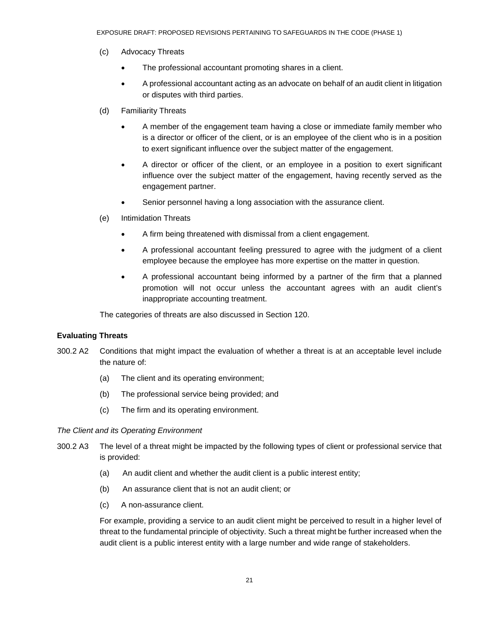- (c) Advocacy Threats
	- The professional accountant promoting shares in a client.
	- A professional accountant acting as an advocate on behalf of an audit client in litigation or disputes with third parties.
- (d) Familiarity Threats
	- A member of the engagement team having a close or immediate family member who is a director or officer of the client, or is an employee of the client who is in a position to exert significant influence over the subject matter of the engagement.
	- A director or officer of the client, or an employee in a position to exert significant influence over the subject matter of the engagement, having recently served as the engagement partner.
	- Senior personnel having a long association with the assurance client.
- (e) Intimidation Threats
	- A firm being threatened with dismissal from a client engagement.
	- A professional accountant feeling pressured to agree with the judgment of a client employee because the employee has more expertise on the matter in question.
	- A professional accountant being informed by a partner of the firm that a planned promotion will not occur unless the accountant agrees with an audit client's inappropriate accounting treatment.

The categories of threats are also discussed in Section 120.

### **Evaluating Threats**

- 300.2 A2 Conditions that might impact the evaluation of whether a threat is at an acceptable level include the nature of:
	- (a) The client and its operating environment;
	- (b) The professional service being provided; and
	- (c) The firm and its operating environment.

#### *The Client and its Operating Environment*

- 300.2 A3 The level of a threat might be impacted by the following types of client or professional service that is provided:
	- (a) An audit client and whether the audit client is a public interest entity;
	- (b) An assurance client that is not an audit client; or
	- (c) A non-assurance client.

For example, providing a service to an audit client might be perceived to result in a higher level of threat to the fundamental principle of objectivity. Such a threat might be further increased when the audit client is a public interest entity with a large number and wide range of stakeholders.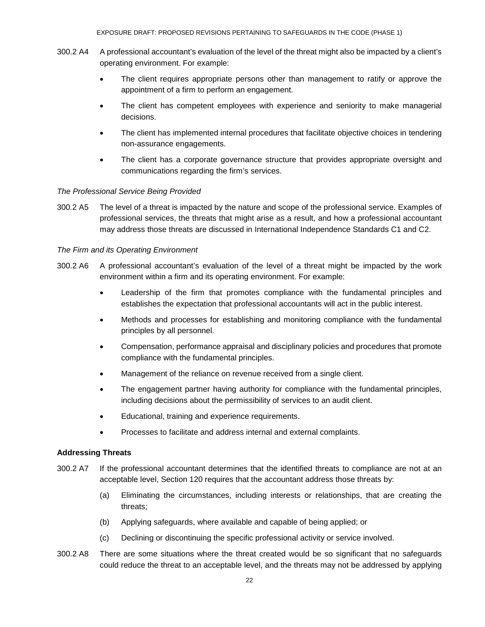- 300.2 A4 A professional accountant's evaluation of the level of the threat might also be impacted by a client's operating environment. For example:
	- The client requires appropriate persons other than management to ratify or approve the appointment of a firm to perform an engagement.
	- The client has competent employees with experience and seniority to make managerial decisions.
	- The client has implemented internal procedures that facilitate objective choices in tendering non-assurance engagements.
	- The client has a corporate governance structure that provides appropriate oversight and communications regarding the firm's services.

### *The Professional Service Being Provided*

300.2 A5 The level of a threat is impacted by the nature and scope of the professional service. Examples of professional services, the threats that might arise as a result, and how a professional accountant may address those threats are discussed in International Independence Standards C1 and C2.

## *The Firm and its Operating Environment*

- 300.2 A6 A professional accountant's evaluation of the level of a threat might be impacted by the work environment within a firm and its operating environment. For example:
	- Leadership of the firm that promotes compliance with the fundamental principles and establishes the expectation that professional accountants will act in the public interest.
	- Methods and processes for establishing and monitoring compliance with the fundamental principles by all personnel.
	- Compensation, performance appraisal and disciplinary policies and procedures that promote compliance with the fundamental principles.
	- Management of the reliance on revenue received from a single client.
	- The engagement partner having authority for compliance with the fundamental principles, including decisions about the permissibility of services to an audit client.
	- Educational, training and experience requirements.
	- Processes to facilitate and address internal and external complaints.

## **Addressing Threats**

- 300.2 A7 If the professional accountant determines that the identified threats to compliance are not at an acceptable level, Section 120 requires that the accountant address those threats by:
	- (a) Eliminating the circumstances, including interests or relationships, that are creating the threats;
	- (b) Applying safeguards, where available and capable of being applied; or
	- (c) Declining or discontinuing the specific professional activity or service involved.
- 300.2 A8 There are some situations where the threat created would be so significant that no safeguards could reduce the threat to an acceptable level, and the threats may not be addressed by applying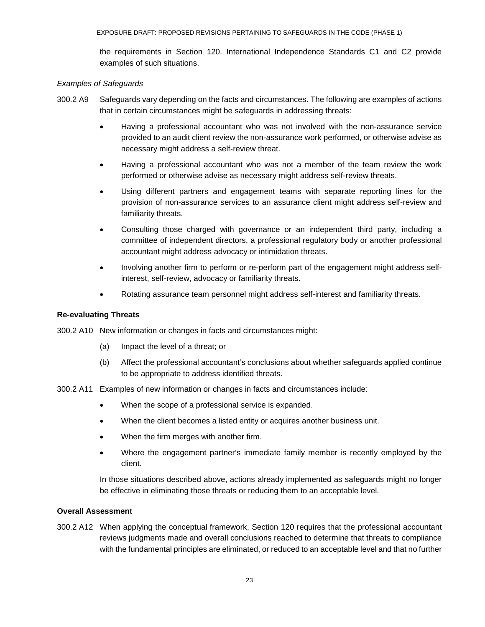the requirements in Section 120. International Independence Standards C1 and C2 provide examples of such situations.

### *Examples of Safeguards*

- 300.2 A9 Safeguards vary depending on the facts and circumstances. The following are examples of actions that in certain circumstances might be safeguards in addressing threats:
	- Having a professional accountant who was not involved with the non-assurance service provided to an audit client review the non-assurance work performed, or otherwise advise as necessary might address a self-review threat.
	- Having a professional accountant who was not a member of the team review the work performed or otherwise advise as necessary might address self-review threats.
	- Using different partners and engagement teams with separate reporting lines for the provision of non-assurance services to an assurance client might address self-review and familiarity threats.
	- Consulting those charged with governance or an independent third party, including a committee of independent directors, a professional regulatory body or another professional accountant might address advocacy or intimidation threats.
	- Involving another firm to perform or re-perform part of the engagement might address selfinterest, self-review, advocacy or familiarity threats.
	- Rotating assurance team personnel might address self-interest and familiarity threats.

### **Re-evaluating Threats**

- 300.2 A10 New information or changes in facts and circumstances might:
	- (a) Impact the level of a threat; or
	- (b) Affect the professional accountant's conclusions about whether safeguards applied continue to be appropriate to address identified threats.
- 300.2 A11 Examples of new information or changes in facts and circumstances include:
	- When the scope of a professional service is expanded.
	- When the client becomes a listed entity or acquires another business unit.
	- When the firm merges with another firm.
	- Where the engagement partner's immediate family member is recently employed by the client.

In those situations described above, actions already implemented as safeguards might no longer be effective in eliminating those threats or reducing them to an acceptable level.

### **Overall Assessment**

300.2 A12 When applying the conceptual framework, Section 120 requires that the professional accountant reviews judgments made and overall conclusions reached to determine that threats to compliance with the fundamental principles are eliminated, or reduced to an acceptable level and that no further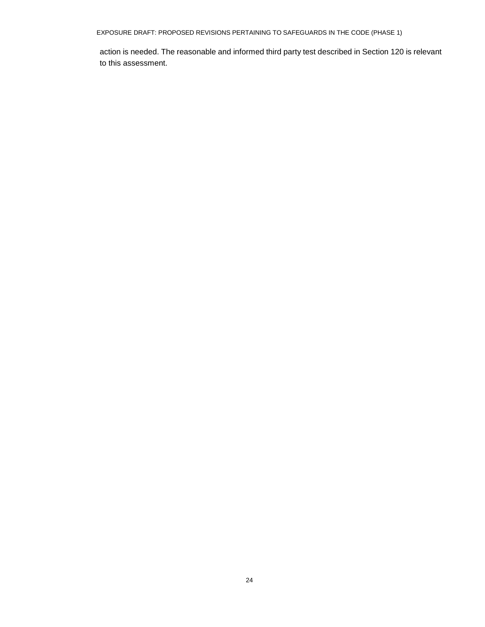EXPOSURE DRAFT: PROPOSED REVISIONS PERTAINING TO SAFEGUARDS IN THE CODE (PHASE 1)

action is needed. The reasonable and informed third party test described in Section 120 is relevant to this assessment.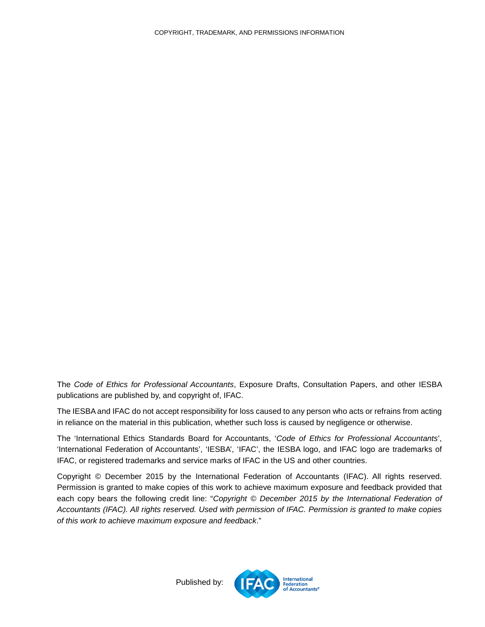<span id="page-24-0"></span>The *Code of Ethics for Professional Accountants*, Exposure Drafts, Consultation Papers, and other IESBA publications are published by, and copyright of, IFAC.

The IESBA and IFAC do not accept responsibility for loss caused to any person who acts or refrains from acting in reliance on the material in this publication, whether such loss is caused by negligence or otherwise.

The 'International Ethics Standards Board for Accountants, '*Code of Ethics for Professional Accountants*', 'International Federation of Accountants', 'IESBA', 'IFAC', the IESBA logo, and IFAC logo are trademarks of IFAC, or registered trademarks and service marks of IFAC in the US and other countries.

Copyright © December 2015 by the International Federation of Accountants (IFAC). All rights reserved. Permission is granted to make copies of this work to achieve maximum exposure and feedback provided that each copy bears the following credit line: "*Copyright © December 2015 by the International Federation of Accountants (IFAC). All rights reserved. Used with permission of IFAC. Permission is granted to make copies of this work to achieve maximum exposure and feedback*."